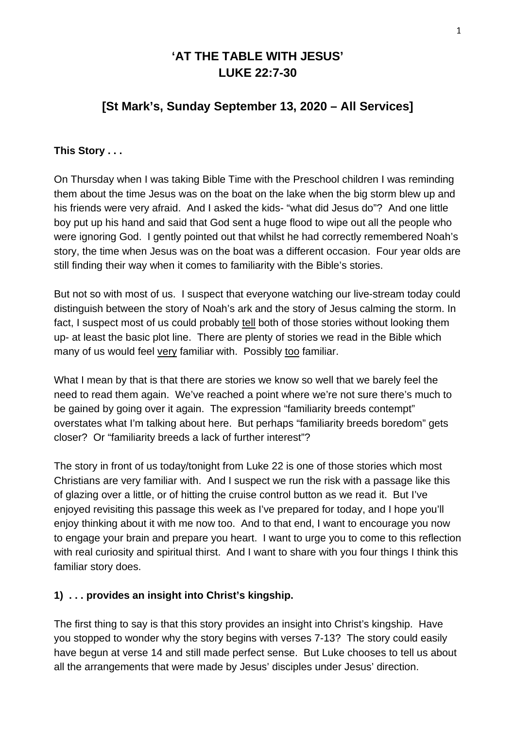# **'AT THE TABLE WITH JESUS' LUKE 22:7-30**

## **[St Mark's, Sunday September 13, 2020 – All Services]**

## **This Story . . .**

On Thursday when I was taking Bible Time with the Preschool children I was reminding them about the time Jesus was on the boat on the lake when the big storm blew up and his friends were very afraid. And I asked the kids- "what did Jesus do"? And one little boy put up his hand and said that God sent a huge flood to wipe out all the people who were ignoring God. I gently pointed out that whilst he had correctly remembered Noah's story, the time when Jesus was on the boat was a different occasion. Four year olds are still finding their way when it comes to familiarity with the Bible's stories.

But not so with most of us. I suspect that everyone watching our live-stream today could distinguish between the story of Noah's ark and the story of Jesus calming the storm. In fact, I suspect most of us could probably tell both of those stories without looking them up- at least the basic plot line. There are plenty of stories we read in the Bible which many of us would feel very familiar with. Possibly too familiar.

What I mean by that is that there are stories we know so well that we barely feel the need to read them again. We've reached a point where we're not sure there's much to be gained by going over it again. The expression "familiarity breeds contempt" overstates what I'm talking about here. But perhaps "familiarity breeds boredom" gets closer? Or "familiarity breeds a lack of further interest"?

The story in front of us today/tonight from Luke 22 is one of those stories which most Christians are very familiar with. And I suspect we run the risk with a passage like this of glazing over a little, or of hitting the cruise control button as we read it. But I've enjoyed revisiting this passage this week as I've prepared for today, and I hope you'll enjoy thinking about it with me now too. And to that end, I want to encourage you now to engage your brain and prepare you heart. I want to urge you to come to this reflection with real curiosity and spiritual thirst. And I want to share with you four things I think this familiar story does.

#### **1) . . . provides an insight into Christ's kingship.**

The first thing to say is that this story provides an insight into Christ's kingship. Have you stopped to wonder why the story begins with verses 7-13? The story could easily have begun at verse 14 and still made perfect sense. But Luke chooses to tell us about all the arrangements that were made by Jesus' disciples under Jesus' direction.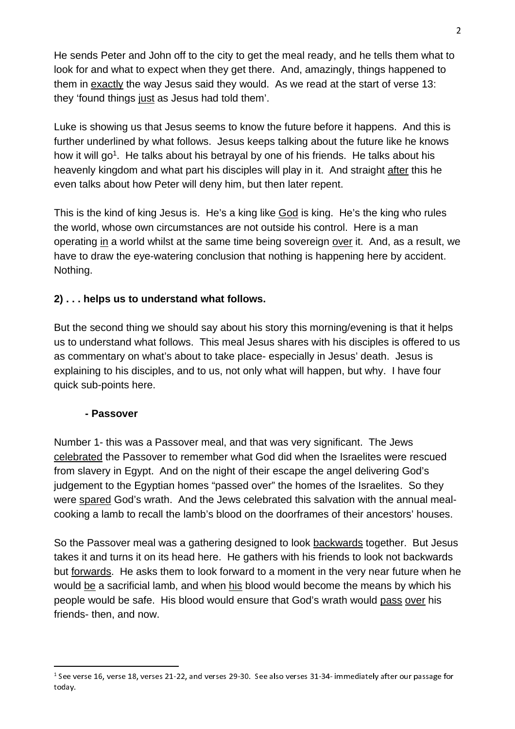He sends Peter and John off to the city to get the meal ready, and he tells them what to look for and what to expect when they get there. And, amazingly, things happened to them in exactly the way Jesus said they would. As we read at the start of verse 13: they 'found things just as Jesus had told them'.

Luke is showing us that Jesus seems to know the future before it happens. And this is further underlined by what follows. Jesus keeps talking about the future like he knows how it will go<sup>1</sup>. He talks about his betrayal by one of his friends. He talks about his heavenly kingdom and what part his disciples will play in it. And straight after this he even talks about how Peter will deny him, but then later repent.

This is the kind of king Jesus is. He's a king like God is king. He's the king who rules the world, whose own circumstances are not outside his control. Here is a man operating in a world whilst at the same time being sovereign over it. And, as a result, we have to draw the eye-watering conclusion that nothing is happening here by accident. Nothing.

## **2) . . . helps us to understand what follows.**

But the second thing we should say about his story this morning/evening is that it helps us to understand what follows. This meal Jesus shares with his disciples is offered to us as commentary on what's about to take place- especially in Jesus' death. Jesus is explaining to his disciples, and to us, not only what will happen, but why. I have four quick sub-points here.

#### **- Passover**

Number 1- this was a Passover meal, and that was very significant. The Jews celebrated the Passover to remember what God did when the Israelites were rescued from slavery in Egypt. And on the night of their escape the angel delivering God's judgement to the Egyptian homes "passed over" the homes of the Israelites. So they were spared God's wrath. And the Jews celebrated this salvation with the annual mealcooking a lamb to recall the lamb's blood on the doorframes of their ancestors' houses.

So the Passover meal was a gathering designed to look backwards together. But Jesus takes it and turns it on its head here. He gathers with his friends to look not backwards but forwards. He asks them to look forward to a moment in the very near future when he would be a sacrificial lamb, and when his blood would become the means by which his people would be safe. His blood would ensure that God's wrath would pass over his friends- then, and now.

 <sup>1</sup> See verse 16, verse 18, verses 21-22, and verses 29-30. See also verses 31-34- immediately after our passage for today.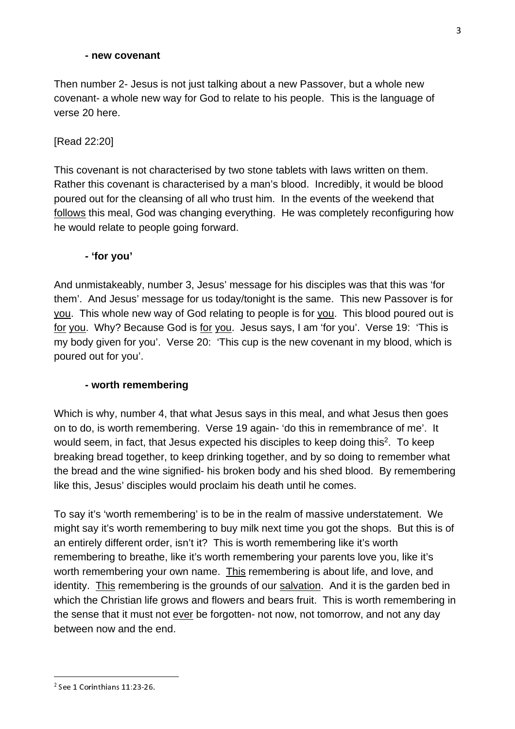#### **- new covenant**

Then number 2- Jesus is not just talking about a new Passover, but a whole new covenant- a whole new way for God to relate to his people. This is the language of verse 20 here.

## [Read 22:20]

This covenant is not characterised by two stone tablets with laws written on them. Rather this covenant is characterised by a man's blood. Incredibly, it would be blood poured out for the cleansing of all who trust him. In the events of the weekend that follows this meal, God was changing everything. He was completely reconfiguring how he would relate to people going forward.

## **- 'for you'**

And unmistakeably, number 3, Jesus' message for his disciples was that this was 'for them'. And Jesus' message for us today/tonight is the same. This new Passover is for you. This whole new way of God relating to people is for you. This blood poured out is for you. Why? Because God is for you. Jesus says, I am 'for you'. Verse 19: 'This is my body given for you'. Verse 20: 'This cup is the new covenant in my blood, which is poured out for you'.

#### **- worth remembering**

Which is why, number 4, that what Jesus says in this meal, and what Jesus then goes on to do, is worth remembering. Verse 19 again- 'do this in remembrance of me'. It would seem, in fact, that Jesus expected his disciples to keep doing this<sup>2</sup>. To keep breaking bread together, to keep drinking together, and by so doing to remember what the bread and the wine signified- his broken body and his shed blood. By remembering like this, Jesus' disciples would proclaim his death until he comes.

To say it's 'worth remembering' is to be in the realm of massive understatement. We might say it's worth remembering to buy milk next time you got the shops. But this is of an entirely different order, isn't it? This is worth remembering like it's worth remembering to breathe, like it's worth remembering your parents love you, like it's worth remembering your own name. This remembering is about life, and love, and identity. This remembering is the grounds of our salvation. And it is the garden bed in which the Christian life grows and flowers and bears fruit. This is worth remembering in the sense that it must not ever be forgotten- not now, not tomorrow, and not any day between now and the end.

 $\overline{\phantom{2}}^2$  See 1 Corinthians 11:23-26. See 1 Corinthians 11:23-26.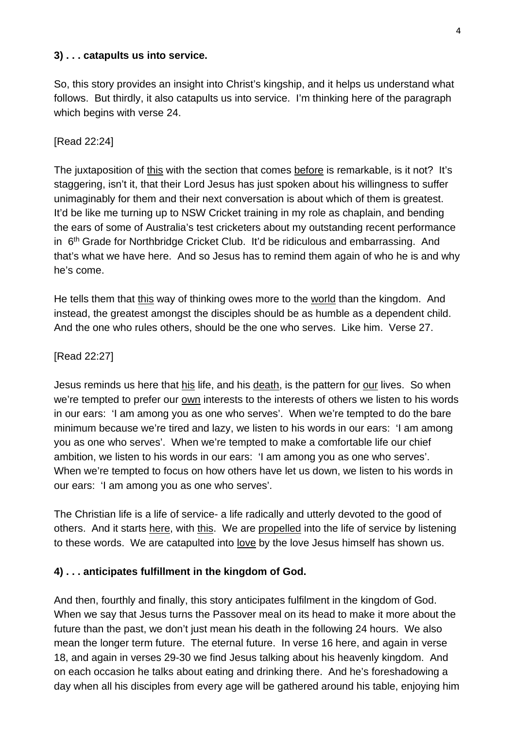## **3) . . . catapults us into service.**

So, this story provides an insight into Christ's kingship, and it helps us understand what follows. But thirdly, it also catapults us into service. I'm thinking here of the paragraph which begins with verse 24.

## [Read 22:24]

The juxtaposition of this with the section that comes before is remarkable, is it not? It's staggering, isn't it, that their Lord Jesus has just spoken about his willingness to suffer unimaginably for them and their next conversation is about which of them is greatest. It'd be like me turning up to NSW Cricket training in my role as chaplain, and bending the ears of some of Australia's test cricketers about my outstanding recent performance in 6<sup>th</sup> Grade for Northbridge Cricket Club. It'd be ridiculous and embarrassing. And that's what we have here. And so Jesus has to remind them again of who he is and why he's come.

He tells them that this way of thinking owes more to the world than the kingdom. And instead, the greatest amongst the disciples should be as humble as a dependent child. And the one who rules others, should be the one who serves. Like him. Verse 27.

## [Read 22:27]

Jesus reminds us here that his life, and his death, is the pattern for our lives. So when we're tempted to prefer our own interests to the interests of others we listen to his words in our ears: 'I am among you as one who serves'. When we're tempted to do the bare minimum because we're tired and lazy, we listen to his words in our ears: 'I am among you as one who serves'. When we're tempted to make a comfortable life our chief ambition, we listen to his words in our ears: 'I am among you as one who serves'. When we're tempted to focus on how others have let us down, we listen to his words in our ears: 'I am among you as one who serves'.

The Christian life is a life of service- a life radically and utterly devoted to the good of others. And it starts here, with this. We are propelled into the life of service by listening to these words. We are catapulted into love by the love Jesus himself has shown us.

#### **4) . . . anticipates fulfillment in the kingdom of God.**

And then, fourthly and finally, this story anticipates fulfilment in the kingdom of God. When we say that Jesus turns the Passover meal on its head to make it more about the future than the past, we don't just mean his death in the following 24 hours. We also mean the longer term future. The eternal future. In verse 16 here, and again in verse 18, and again in verses 29-30 we find Jesus talking about his heavenly kingdom. And on each occasion he talks about eating and drinking there. And he's foreshadowing a day when all his disciples from every age will be gathered around his table, enjoying him